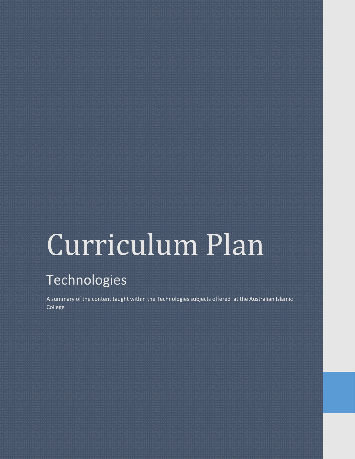# Technologies

A summary of the content taught within the Technologies subjects offered at the Australian Islamic College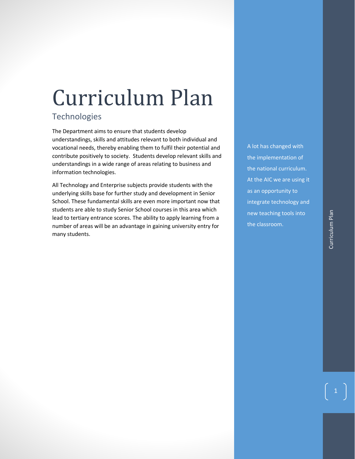# **Technologies**

The Department aims to ensure that students develop understandings, skills and attitudes relevant to both individual and vocational needs, thereby enabling them to fulfil their potential and contribute positively to society. Students develop relevant skills and understandings in a wide range of areas relating to business and information technologies.

All Technology and Enterprise subjects provide students with the underlying skills base for further study and development in Senior School. These fundamental skills are even more important now that students are able to study Senior School courses in this area which lead to tertiary entrance scores. The ability to apply learning from a number of areas will be an advantage in gaining university entry for many students.

A lot has changed with the implementation of the national curriculum. At the AIC we are using it as an opportunity to integrate technology and new teaching tools into the classroom.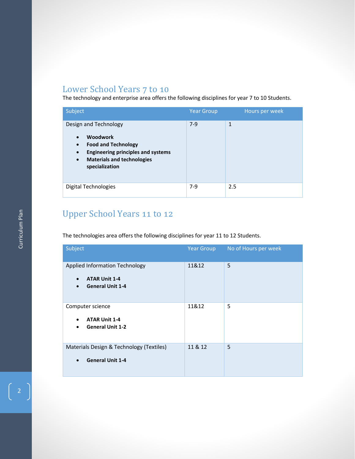# Lower School Years 7 to 10

The technology and enterprise area offers the following disciplines for year 7 to 10 Students.

| Subject                                                                                                                                                                                                                        | <b>Year Group</b> | Hours per week |
|--------------------------------------------------------------------------------------------------------------------------------------------------------------------------------------------------------------------------------|-------------------|----------------|
| Design and Technology<br><b>Woodwork</b><br>$\bullet$<br><b>Food and Technology</b><br>$\bullet$<br><b>Engineering principles and systems</b><br>$\bullet$<br><b>Materials and technologies</b><br>$\bullet$<br>specialization | $7-9$             | $\mathbf{1}$   |
| Digital Technologies                                                                                                                                                                                                           | $7-9$             | 2.5            |

# Upper School Years 11 to 12

The technologies area offers the following disciplines for year 11 to 12 Students.

| Subject                                                                                               | <b>Year Group</b> | No of Hours per week |
|-------------------------------------------------------------------------------------------------------|-------------------|----------------------|
| <b>Applied Information Technology</b><br><b>ATAR Unit 1-4</b><br><b>General Unit 1-4</b><br>$\bullet$ | 11&12             | 5                    |
| Computer science<br><b>ATAR Unit 1-4</b><br><b>General Unit 1-2</b>                                   | 11&12             | 5                    |
| Materials Design & Technology (Textiles)<br><b>General Unit 1-4</b><br>$\bullet$                      | 11 & 12           | 5                    |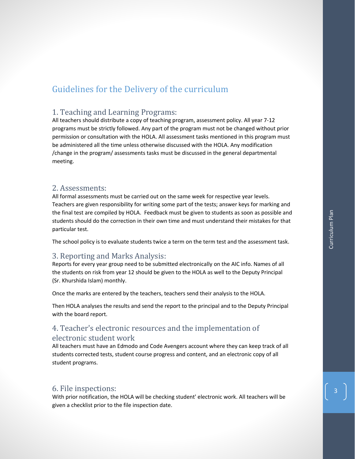# Guidelines for the Delivery of the curriculum

# 1. Teaching and Learning Programs:

All teachers should distribute a copy of teaching program, assessment policy. All year 7-12 programs must be strictly followed. Any part of the program must not be changed without prior permission or consultation with the HOLA. All assessment tasks mentioned in this program must be administered all the time unless otherwise discussed with the HOLA. Any modification /change in the program/ assessments tasks must be discussed in the general departmental meeting.

# 2. Assessments:

All formal assessments must be carried out on the same week for respective year levels. Teachers are given responsibility for writing some part of the tests; answer keys for marking and the final test are compiled by HOLA. Feedback must be given to students as soon as possible and students should do the correction in their own time and must understand their mistakes for that particular test.

The school policy is to evaluate students twice a term on the term test and the assessment task.

# 3. Reporting and Marks Analysis:

Reports for every year group need to be submitted electronically on the AIC info. Names of all the students on risk from year 12 should be given to the HOLA as well to the Deputy Principal (Sr. Khurshida Islam) monthly.

Once the marks are entered by the teachers, teachers send their analysis to the HOLA.

Then HOLA analyses the results and send the report to the principal and to the Deputy Principal with the board report.

# 4. Teacher's electronic resources and the implementation of electronic student work

All teachers must have an Edmodo and Code Avengers account where they can keep track of all students corrected tests, student course progress and content, and an electronic copy of all student programs.

# 6. File inspections:

With prior notification, the HOLA will be checking student' electronic work. All teachers will be given a checklist prior to the file inspection date.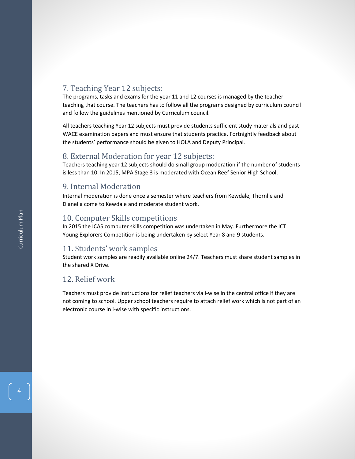# 7. Teaching Year 12 subjects:

The programs, tasks and exams for the year 11 and 12 courses is managed by the teacher teaching that course. The teachers has to follow all the programs designed by curriculum council and follow the guidelines mentioned by Curriculum council.

All teachers teaching Year 12 subjects must provide students sufficient study materials and past WACE examination papers and must ensure that students practice. Fortnightly feedback about the students' performance should be given to HOLA and Deputy Principal.

# 8. External Moderation for year 12 subjects:

Teachers teaching year 12 subjects should do small group moderation if the number of students is less than 10. In 2015, MPA Stage 3 is moderated with Ocean Reef Senior High School.

# 9. Internal Moderation

Internal moderation is done once a semester where teachers from Kewdale, Thornlie and Dianella come to Kewdale and moderate student work.

# 10. Computer Skills competitions

In 2015 the ICAS computer skills competition was undertaken in May. Furthermore the ICT Young Explorers Competition is being undertaken by select Year 8 and 9 students.

# 11. Students' work samples

Student work samples are readily available online 24/7. Teachers must share student samples in the shared X Drive.

# 12. Relief work

Teachers must provide instructions for relief teachers via i-wise in the central office if they are not coming to school. Upper school teachers require to attach relief work which is not part of an electronic course in i-wise with specific instructions.

4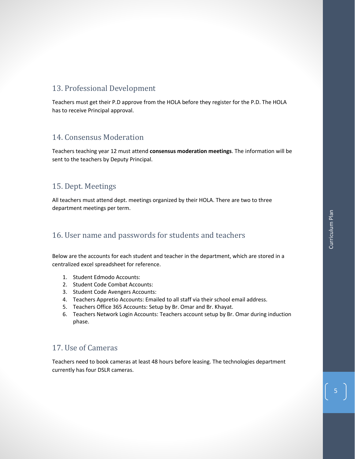# 13. Professional Development

Teachers must get their P.D approve from the HOLA before they register for the P.D. The HOLA has to receive Principal approval.

# 14. Consensus Moderation

Teachers teaching year 12 must attend **consensus moderation meetings**. The information will be sent to the teachers by Deputy Principal.

# 15. Dept. Meetings

All teachers must attend dept. meetings organized by their HOLA. There are two to three department meetings per term.

# 16. User name and passwords for students and teachers

Below are the accounts for each student and teacher in the department, which are stored in a centralized excel spreadsheet for reference.

- 1. Student Edmodo Accounts:
- 2. Student Code Combat Accounts:
- 3. Student Code Avengers Accounts:
- 4. Teachers Appretio Accounts: Emailed to all staff via their school email address.
- 5. Teachers Office 365 Accounts: Setup by Br. Omar and Br. Khayat.
- 6. Teachers Network Login Accounts: Teachers account setup by Br. Omar during induction phase.

# 17. Use of Cameras

Teachers need to book cameras at least 48 hours before leasing. The technologies department currently has four DSLR cameras.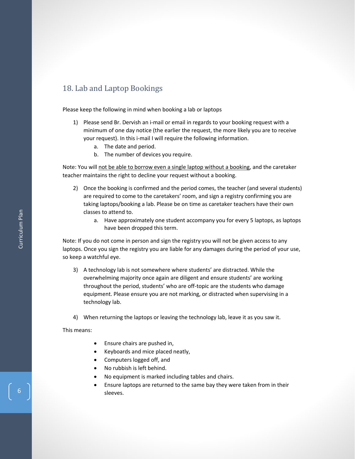# 18. Lab and Laptop Bookings

Please keep the following in mind when booking a lab or laptops

- 1) Please send Br. Dervish an i-mail or email in regards to your booking request with a minimum of one day notice (the earlier the request, the more likely you are to receive your request). In this i-mail I will require the following information.
	- a. The date and period.
	- b. The number of devices you require.

Note: You will not be able to borrow even a single laptop without a booking, and the caretaker teacher maintains the right to decline your request without a booking.

- 2) Once the booking is confirmed and the period comes, the teacher (and several students) are required to come to the caretakers' room, and sign a registry confirming you are taking laptops/booking a lab. Please be on time as caretaker teachers have their own classes to attend to.
	- a. Have approximately one student accompany you for every 5 laptops, as laptops have been dropped this term.

Note: If you do not come in person and sign the registry you will not be given access to any laptops. Once you sign the registry you are liable for any damages during the period of your use, so keep a watchful eye.

- 3) A technology lab is not somewhere where students' are distracted. While the overwhelming majority once again are diligent and ensure students' are working throughout the period, students' who are off-topic are the students who damage equipment. Please ensure you are not marking, or distracted when supervising in a technology lab.
- 4) When returning the laptops or leaving the technology lab, leave it as you saw it.

This means:

- Ensure chairs are pushed in,
- Keyboards and mice placed neatly,
- Computers logged off, and
- No rubbish is left behind.
- No equipment is marked including tables and chairs.
- Ensure laptops are returned to the same bay they were taken from in their sleeves.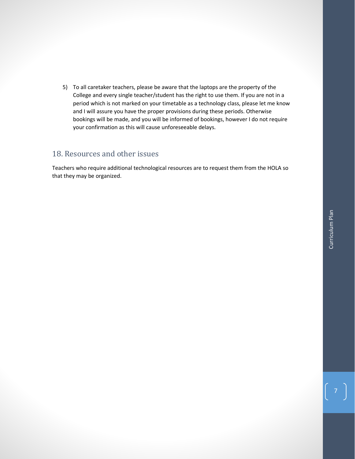5) To all caretaker teachers, please be aware that the laptops are the property of the College and every single teacher/student has the right to use them. If you are not in a period which is not marked on your timetable as a technology class, please let me know and I will assure you have the proper provisions during these periods. Otherwise bookings will be made, and you will be informed of bookings, however I do not require your confirmation as this will cause unforeseeable delays.

# 18. Resources and other issues

Teachers who require additional technological resources are to request them from the HOLA so that they may be organized.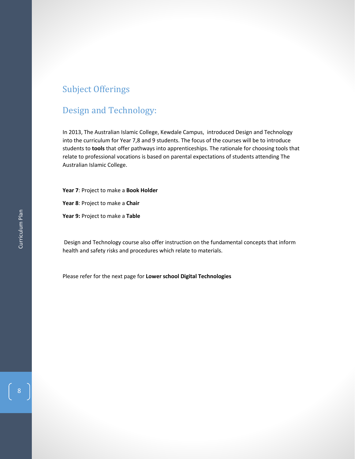# Subject Offerings

# Design and Technology:

In 2013, The Australian Islamic College, Kewdale Campus, introduced Design and Technology into the curriculum for Year 7,8 and 9 students. The focus of the courses will be to introduce students to **tools** that offer pathways into apprenticeships. The rationale for choosing tools that relate to professional vocations is based on parental expectations of students attending The Australian Islamic College.

**Year 7**: Project to make a **Book Holder**

**Year 8**: Project to make a **Chair**

**Year 9:** Project to make a **Table**

Design and Technology course also offer instruction on the fundamental concepts that inform health and safety risks and procedures which relate to materials.

Please refer for the next page for **Lower school Digital Technologies**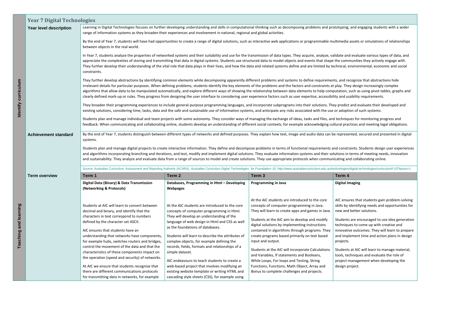|                      | <b>Year 7 Digital Technologies</b> |                                                                                                                                                                                                                                                                                                                                   |                                                                                                                                                                                                                                   |                                                                                                                                                                                                                                                                                                                                                                                                                                                                                                                                                                                                                                                                                                                                                                                                     |                                                                                                                                                                                                            |  |
|----------------------|------------------------------------|-----------------------------------------------------------------------------------------------------------------------------------------------------------------------------------------------------------------------------------------------------------------------------------------------------------------------------------|-----------------------------------------------------------------------------------------------------------------------------------------------------------------------------------------------------------------------------------|-----------------------------------------------------------------------------------------------------------------------------------------------------------------------------------------------------------------------------------------------------------------------------------------------------------------------------------------------------------------------------------------------------------------------------------------------------------------------------------------------------------------------------------------------------------------------------------------------------------------------------------------------------------------------------------------------------------------------------------------------------------------------------------------------------|------------------------------------------------------------------------------------------------------------------------------------------------------------------------------------------------------------|--|
|                      | Year level description             | Learning in Digital Technologies focuses on further developing understanding and skills in computational thinking such as decomposing problems and prototyping; and engaging students with a wider<br>range of information systems as they broaden their experiences and involvement in national, regional and global activities. |                                                                                                                                                                                                                                   |                                                                                                                                                                                                                                                                                                                                                                                                                                                                                                                                                                                                                                                                                                                                                                                                     |                                                                                                                                                                                                            |  |
|                      |                                    | By the end of Year 7, students will have had opportunities to create a range of digital solutions, such as interactive web applications or programmable multimedia assets or simulations of relationships<br>between objects in the real world.                                                                                   |                                                                                                                                                                                                                                   |                                                                                                                                                                                                                                                                                                                                                                                                                                                                                                                                                                                                                                                                                                                                                                                                     |                                                                                                                                                                                                            |  |
|                      |                                    | constraints.                                                                                                                                                                                                                                                                                                                      |                                                                                                                                                                                                                                   | In Year 7, students analyze the properties of networked systems and their suitability and use for the transmission of data types. They acquire, analyze, validate and evaluate various types of data, and<br>appreciate the complexities of storing and transmitting that data in digital systems. Students use structured data to model objects and events that shape the communities they actively engage with.<br>They further develop their understanding of the vital role that data plays in their lives, and how the data and related systems define and are limited by technical, environmental, economic and social                                                                                                                                                                        |                                                                                                                                                                                                            |  |
| Identify curriculum  |                                    |                                                                                                                                                                                                                                                                                                                                   |                                                                                                                                                                                                                                   | They further develop abstractions by identifying common elements while decomposing apparently different problems and systems to define requirements, and recognize that abstractions hide<br>irrelevant details for particular purposes. When defining problems, students identify the key elements of the problems and the factors and constraints at play. They design increasingly complex<br>algorithms that allow data to be manipulated automatically, and explore different ways of showing the relationship between data elements to help computation, such as using pivot tables, graphs and<br>clearly defined mark-up or rules. They progress from designing the user interface to considering user experience factors such as user expertise, accessibility and usability requirements. |                                                                                                                                                                                                            |  |
|                      |                                    |                                                                                                                                                                                                                                                                                                                                   |                                                                                                                                                                                                                                   | They broaden their programming experiences to include general-purpose programming languages, and incorporate subprograms into their solutions. They predict and evaluate their developed and<br>existing solutions, considering time, tasks, data and the safe and sustainable use of information systems, and anticipate any risks associated with the use or adoption of such systems.                                                                                                                                                                                                                                                                                                                                                                                                            |                                                                                                                                                                                                            |  |
|                      |                                    |                                                                                                                                                                                                                                                                                                                                   |                                                                                                                                                                                                                                   | Students plan and manage individual and team projects with some autonomy. They consider ways of managing the exchange of ideas, tasks and files, and techniques for monitoring progress and<br>feedback. When communicating and collaborating online, students develop an understanding of different social contexts, for example acknowledging cultural practices and meeting legal obligations.                                                                                                                                                                                                                                                                                                                                                                                                   |                                                                                                                                                                                                            |  |
|                      | <b>Achievement standard</b>        | By the end of Year 7, students distinguish between different types of networks and defined purposes. They explain how text, image and audio data can be represented, secured and presented in digital<br>systems.                                                                                                                 |                                                                                                                                                                                                                                   |                                                                                                                                                                                                                                                                                                                                                                                                                                                                                                                                                                                                                                                                                                                                                                                                     |                                                                                                                                                                                                            |  |
|                      |                                    |                                                                                                                                                                                                                                                                                                                                   |                                                                                                                                                                                                                                   | Students plan and manage digital projects to create interactive information. They define and decompose problems in terms of functional requirements and constraints. Students design user experiences                                                                                                                                                                                                                                                                                                                                                                                                                                                                                                                                                                                               |                                                                                                                                                                                                            |  |
|                      |                                    |                                                                                                                                                                                                                                                                                                                                   |                                                                                                                                                                                                                                   | and algorithms incorporating branching and iterations, and test, modify and implement digital solutions. They evaluate information systems and their solutions in terms of meeting needs, innovation<br>and sustainability. They analyze and evaluate data from a range of sources to model and create solutions. They use appropriate protocols when communicating and collaborating online.                                                                                                                                                                                                                                                                                                                                                                                                       |                                                                                                                                                                                                            |  |
|                      |                                    |                                                                                                                                                                                                                                                                                                                                   |                                                                                                                                                                                                                                   | Source: Australian Curriculum, Assessment and Reporting Authority (ACARA), Australian Curriculum Digital Technologies for Foundation-10, http://www.australiancurriculum.edu.au/technologies/digital-technologies/curriculum/f                                                                                                                                                                                                                                                                                                                                                                                                                                                                                                                                                                      |                                                                                                                                                                                                            |  |
|                      | <b>Term overview</b>               | Term 1                                                                                                                                                                                                                                                                                                                            | Term 2                                                                                                                                                                                                                            | Term <sub>3</sub>                                                                                                                                                                                                                                                                                                                                                                                                                                                                                                                                                                                                                                                                                                                                                                                   | Term 4                                                                                                                                                                                                     |  |
|                      |                                    | Digital Data (Binary) & Data Transmission<br>(Networking & Protocols)                                                                                                                                                                                                                                                             | Databases, Programming in Html - Developing<br>Webpages                                                                                                                                                                           | <b>Programming in Java</b>                                                                                                                                                                                                                                                                                                                                                                                                                                                                                                                                                                                                                                                                                                                                                                          | <b>Digital Imaging</b>                                                                                                                                                                                     |  |
|                      |                                    | Students at AIC will learn to convert between<br>decimal and binary, and identify that the                                                                                                                                                                                                                                        | At the AIC students are introduced to the core<br>concepts of computer-programming in Html.                                                                                                                                       | At the AIC students are introduced to the core<br>concepts of computer-programming in Java.<br>They will learn to create apps and games in Java.                                                                                                                                                                                                                                                                                                                                                                                                                                                                                                                                                                                                                                                    | AIC ensures that students gain problem-solving<br>skills by identifying needs and opportunities for<br>new and better solutions.                                                                           |  |
| eaching and learning |                                    | characters in text correspond to numbers<br>defined by the character set ASCII.<br>AIC ensures that students have an<br>understanding that networks have components,<br>for example hubs, switches routers and bridges,                                                                                                           | They will develop an understanding of the<br>language of web design in Html and CSS as well<br>as the foundations of databases.<br>Students will learn to describe the attributes of<br>complex objects, for example defining the | Students at the AIC aim to develop and modify<br>digital solutions by implementing instructions<br>contained in algorithms through programs. They<br>create programs based primarily on text based<br>input and output.                                                                                                                                                                                                                                                                                                                                                                                                                                                                                                                                                                             | Students are encouraged to use idea generation<br>techniques to come up with creative and<br>innovative outcomes. They will learn to prepare<br>and implement time and action plans in design<br>projects. |  |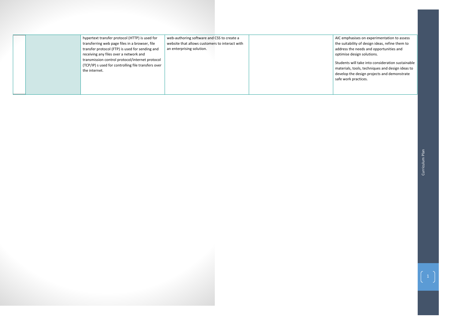

| hypertext transfer protocol (HTTP) is used for                                                                          | web-authoring software and CSS to create a     | AIC empl                                       |
|-------------------------------------------------------------------------------------------------------------------------|------------------------------------------------|------------------------------------------------|
| transferring web page files in a browser, file                                                                          | website that allows customers to interact with | the suita                                      |
| transfer protocol (FTP) is used for sending and                                                                         | an enterprising solution.                      | address t                                      |
| receiving any files over a network and                                                                                  |                                                | optimise                                       |
| transmission control protocol/internet protocol<br>(TCP/IP) s used for controlling file transfers over<br>the internet. |                                                | Students<br>materials<br>develop t<br>safe wor |
|                                                                                                                         |                                                |                                                |

ohasises on experimentation to assess ability of design ideas, refine them to  $a$  the needs and opportunities and e design solutions.

s will take into consideration sustainable Is, tools, techniques and design ideas to , the design projects and demonstrate rk practices.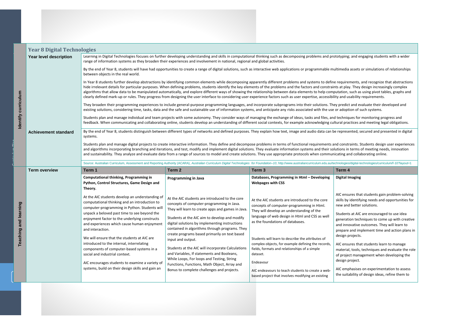| <b>Year 8 Digital Technologies</b> |                                                                                                                                                                                                                                                                                                                                                                                                                                                                                                                                                                                                          |                                                                                                                                                                                                                                                                                                                                                                                                                                                                                                                                                                                                                                                                                |                                                                                                                                                                                                                                                                                                                                                                                                                                                                          |                                                                                                                                                                                              |  |  |
|------------------------------------|----------------------------------------------------------------------------------------------------------------------------------------------------------------------------------------------------------------------------------------------------------------------------------------------------------------------------------------------------------------------------------------------------------------------------------------------------------------------------------------------------------------------------------------------------------------------------------------------------------|--------------------------------------------------------------------------------------------------------------------------------------------------------------------------------------------------------------------------------------------------------------------------------------------------------------------------------------------------------------------------------------------------------------------------------------------------------------------------------------------------------------------------------------------------------------------------------------------------------------------------------------------------------------------------------|--------------------------------------------------------------------------------------------------------------------------------------------------------------------------------------------------------------------------------------------------------------------------------------------------------------------------------------------------------------------------------------------------------------------------------------------------------------------------|----------------------------------------------------------------------------------------------------------------------------------------------------------------------------------------------|--|--|
| Year level description             |                                                                                                                                                                                                                                                                                                                                                                                                                                                                                                                                                                                                          | range of information systems as they broaden their experiences and involvement in national, regional and global activities.                                                                                                                                                                                                                                                                                                                                                                                                                                                                                                                                                    | Learning in Digital Technologies focuses on further developing understanding and skills in computational thinking such as decomposing problems and prototyping                                                                                                                                                                                                                                                                                                           |                                                                                                                                                                                              |  |  |
|                                    | between objects in the real world.                                                                                                                                                                                                                                                                                                                                                                                                                                                                                                                                                                       |                                                                                                                                                                                                                                                                                                                                                                                                                                                                                                                                                                                                                                                                                | By the end of Year 8, students will have had opportunities to create a range of digital solutions, such as interactive web applications or programmable multimedia                                                                                                                                                                                                                                                                                                       |                                                                                                                                                                                              |  |  |
|                                    |                                                                                                                                                                                                                                                                                                                                                                                                                                                                                                                                                                                                          | In Year 8 students further develop abstractions by identifying common elements while decomposing apparently different problems and systems to define requirer<br>hide irrelevant details for particular purposes. When defining problems, students identify the key elements of the problems and the factors and constraints at play<br>algorithms that allow data to be manipulated automatically, and explore different ways of showing the relationship between data elements to help computation,<br>clearly defined mark-up or rules. They progress from designing the user interface to considering user experience factors such as user expertise, accessibility and us |                                                                                                                                                                                                                                                                                                                                                                                                                                                                          |                                                                                                                                                                                              |  |  |
|                                    |                                                                                                                                                                                                                                                                                                                                                                                                                                                                                                                                                                                                          |                                                                                                                                                                                                                                                                                                                                                                                                                                                                                                                                                                                                                                                                                | They broaden their programming experiences to include general-purpose programming languages, and incorporate subprograms into their solutions. They predict<br>existing solutions, considering time, tasks, data and the safe and sustainable use of information systems, and anticipate any risks associated with the use or adopti                                                                                                                                     |                                                                                                                                                                                              |  |  |
|                                    |                                                                                                                                                                                                                                                                                                                                                                                                                                                                                                                                                                                                          |                                                                                                                                                                                                                                                                                                                                                                                                                                                                                                                                                                                                                                                                                | Students plan and manage individual and team projects with some autonomy. They consider ways of managing the exchange of ideas, tasks and files, and technique<br>feedback. When communicating and collaborating online, students develop an understanding of different social contexts, for example acknowledging cultural pra                                                                                                                                          |                                                                                                                                                                                              |  |  |
| <b>Achievement standard</b>        | systems.                                                                                                                                                                                                                                                                                                                                                                                                                                                                                                                                                                                                 |                                                                                                                                                                                                                                                                                                                                                                                                                                                                                                                                                                                                                                                                                | By the end of Year 8, students distinguish between different types of networks and defined purposes. They explain how text, image and audio data can be represe                                                                                                                                                                                                                                                                                                          |                                                                                                                                                                                              |  |  |
|                                    | and algorithms incorporating branching and iterations, and test, modify and implement digital solutions. They evaluate information systems and their solutions in                                                                                                                                                                                                                                                                                                                                                                                                                                        |                                                                                                                                                                                                                                                                                                                                                                                                                                                                                                                                                                                                                                                                                | Students plan and manage digital projects to create interactive information. They define and decompose problems in terms of functional requirements and constr                                                                                                                                                                                                                                                                                                           |                                                                                                                                                                                              |  |  |
|                                    |                                                                                                                                                                                                                                                                                                                                                                                                                                                                                                                                                                                                          |                                                                                                                                                                                                                                                                                                                                                                                                                                                                                                                                                                                                                                                                                | and sustainability. They analyze and evaluate data from a range of sources to model and create solutions. They use appropriate protocols when communicating ar                                                                                                                                                                                                                                                                                                           |                                                                                                                                                                                              |  |  |
|                                    |                                                                                                                                                                                                                                                                                                                                                                                                                                                                                                                                                                                                          |                                                                                                                                                                                                                                                                                                                                                                                                                                                                                                                                                                                                                                                                                | Source: Australian Curriculum, Assessment and Reporting Authority (ACARA), Australian Curriculum Digital Technologies for Foundation-10, http://www.australiancurriculum.edu.au/technologies                                                                                                                                                                                                                                                                             |                                                                                                                                                                                              |  |  |
| <b>Term overview</b>               | Term 1                                                                                                                                                                                                                                                                                                                                                                                                                                                                                                                                                                                                   | Term 2                                                                                                                                                                                                                                                                                                                                                                                                                                                                                                                                                                                                                                                                         | Term <sub>3</sub>                                                                                                                                                                                                                                                                                                                                                                                                                                                        |                                                                                                                                                                                              |  |  |
|                                    | <b>Computational thinking, Programming in</b><br>Python, Control Structures, Game Design and<br>Theory.                                                                                                                                                                                                                                                                                                                                                                                                                                                                                                  | <b>Programming in Java</b>                                                                                                                                                                                                                                                                                                                                                                                                                                                                                                                                                                                                                                                     | Databases, Programming in Html - Developing<br><b>Webpages with CSS</b>                                                                                                                                                                                                                                                                                                                                                                                                  |                                                                                                                                                                                              |  |  |
|                                    | At the AIC students develop an understanding of<br>computational thinking and an introduction to<br>computer-programming in Python. Students will<br>unpack a beloved past time to see beyond the<br>enjoyment factor to the underlying constructs<br>and experiences which cause human enjoyment<br>and interaction.<br>We will ensure that the students at AIC are<br>introduced to the internal, interrelating<br>components of computer-based systems in a<br>social and industrial context.<br>AIC encourages students to examine a variety of<br>systems, build on their design skills and gain an | At the AIC students are introduced to the core<br>concepts of computer-programming in Java.<br>They will learn to create apps and games in Java.<br>Students at the AIC aim to develop and modify<br>digital solutions by implementing instructions<br>contained in algorithms through programs. They<br>create programs based primarily on text based<br>input and output.<br>Students at the AIC will incorporate Calculations<br>and Variables, If statements and Booleans,<br>While Loops, For loops and Testing, String<br>Functions, Functions, Math Object, Array and<br>Bonus to complete challenges and projects.                                                     | At the AIC students are introduced to the core<br>concepts of computer-programming in Html.<br>They will develop an understanding of the<br>language of web design in Html and CSS as well<br>as the foundations of databases.<br>Students will learn to describe the attributes of<br>complex objects, for example defining the records,<br>fields, formats and relationships of a simple<br>dataset.<br>Endeavour<br>AIC endeavours to teach students to create a web- | Term 4<br><b>Digital In</b><br>AIC ensu<br>skills by<br>new and<br><b>Students</b><br>generati<br>and inno<br>prepare<br>design p<br>AIC ensu<br>material<br>of proje<br>design p<br>AIC emp |  |  |



ures that students gain problem-solving identifying needs and opportunities for d better solutions.

ts at AIC are encouraged to use idea ion techniques to come up with creative ovative outcomes. They will learn to e and implement time and action plans in projects.

ures that students learn to manage I, tools, techniques and evaluate the role ect management when developing the project.

phasises on experimentation to assess ability of design ideas, refine them to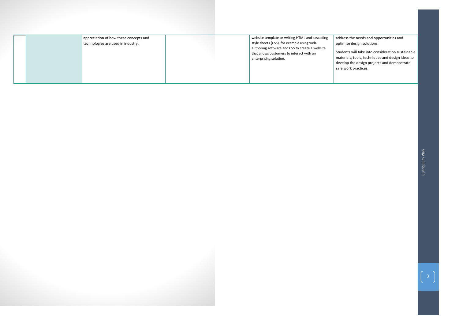



appreciation of how these concepts and technologies are used in industry.

| website template or writing HTML and cascading<br>style sheets (CSS), for example using web-<br>authoring software and CSS to create a website<br>that allows customers to interact with an<br>enterprising solution. | addres<br>optimi<br>Studer<br>materi<br>develo<br>safe w |
|-----------------------------------------------------------------------------------------------------------------------------------------------------------------------------------------------------------------------|----------------------------------------------------------|
|-----------------------------------------------------------------------------------------------------------------------------------------------------------------------------------------------------------------------|----------------------------------------------------------|



ess the needs and opportunities and nise design solutions.

 $\overline{\text{S}}$ nts will take into consideration sustainable rials, tools, techniques and design ideas to op the design projects and demonstrate work practices.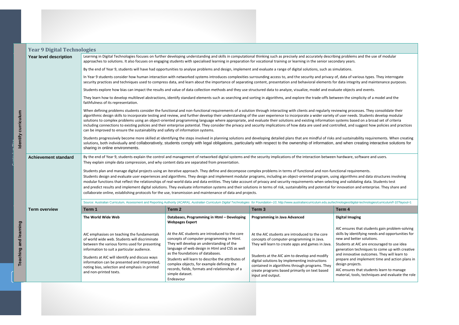**Plems and the use of modular in anderstanding under** 

of various types. They interrogate ntegrity and maintenance purposes.

e simplicity of a model and the

processes. They consolidate their needs. Students develop modular s based on a broad set of criteria and suggest how policies and practices

tainability requirements. When creating en creating interactive solutions for

ithms and data structures involving

ralidating data. Students test

tion and enterprise. They share and is

s/digital-technologies/curriculum/f-10?layout=1

|                                                                                                                                                                                                                                  | <b>Year 9 Digital Technologies</b> |                                                                                                                                                                                                                                                                                                                                                                                                                                                                                                                                                                                                                                                                                                                                                                                                                                                                                                                                                                             |                                                                                                                                                                                                                                                                                                                                                                                                        |                                                                                                                                                                                                                                                                                                                                                                             |                                                                                                                                                                                                                                                                                                                                   |  |
|----------------------------------------------------------------------------------------------------------------------------------------------------------------------------------------------------------------------------------|------------------------------------|-----------------------------------------------------------------------------------------------------------------------------------------------------------------------------------------------------------------------------------------------------------------------------------------------------------------------------------------------------------------------------------------------------------------------------------------------------------------------------------------------------------------------------------------------------------------------------------------------------------------------------------------------------------------------------------------------------------------------------------------------------------------------------------------------------------------------------------------------------------------------------------------------------------------------------------------------------------------------------|--------------------------------------------------------------------------------------------------------------------------------------------------------------------------------------------------------------------------------------------------------------------------------------------------------------------------------------------------------------------------------------------------------|-----------------------------------------------------------------------------------------------------------------------------------------------------------------------------------------------------------------------------------------------------------------------------------------------------------------------------------------------------------------------------|-----------------------------------------------------------------------------------------------------------------------------------------------------------------------------------------------------------------------------------------------------------------------------------------------------------------------------------|--|
|                                                                                                                                                                                                                                  | Year level description             | Learning in Digital Technologies focuses on further developing understanding and skills in computational thinking such as precisely and accurately describing problems and the use of mo<br>approaches to solutions. It also focuses on engaging students with specialised learning in preparation for vocational training or learning in the senior secondary years.                                                                                                                                                                                                                                                                                                                                                                                                                                                                                                                                                                                                       |                                                                                                                                                                                                                                                                                                                                                                                                        |                                                                                                                                                                                                                                                                                                                                                                             |                                                                                                                                                                                                                                                                                                                                   |  |
|                                                                                                                                                                                                                                  |                                    | By the end of Year 9, students will have had opportunities to analyse problems and design, implement and evaluate a range of digital solutions, such as simulations.                                                                                                                                                                                                                                                                                                                                                                                                                                                                                                                                                                                                                                                                                                                                                                                                        |                                                                                                                                                                                                                                                                                                                                                                                                        |                                                                                                                                                                                                                                                                                                                                                                             |                                                                                                                                                                                                                                                                                                                                   |  |
|                                                                                                                                                                                                                                  |                                    | In Year 9 students consider how human interaction with networked systems introduces complexities surrounding access to, and the security and privacy of, data of various types. They in<br>security practices and techniques used to compress data, and learn about the importance of separating content, presentation and behavioral elements for data integrity and maintenance                                                                                                                                                                                                                                                                                                                                                                                                                                                                                                                                                                                           |                                                                                                                                                                                                                                                                                                                                                                                                        |                                                                                                                                                                                                                                                                                                                                                                             |                                                                                                                                                                                                                                                                                                                                   |  |
|                                                                                                                                                                                                                                  |                                    |                                                                                                                                                                                                                                                                                                                                                                                                                                                                                                                                                                                                                                                                                                                                                                                                                                                                                                                                                                             | Students explore how bias can impact the results and value of data collection methods and they use structured data to analyze, visualize, model and evaluate objects and events.                                                                                                                                                                                                                       |                                                                                                                                                                                                                                                                                                                                                                             |                                                                                                                                                                                                                                                                                                                                   |  |
| They learn how to develop multilevel abstractions, identify standard elements such as searching and sorting in algorithms, and explore the trade-offs between the simplicity of a model a<br>faithfulness of its representation. |                                    |                                                                                                                                                                                                                                                                                                                                                                                                                                                                                                                                                                                                                                                                                                                                                                                                                                                                                                                                                                             |                                                                                                                                                                                                                                                                                                                                                                                                        |                                                                                                                                                                                                                                                                                                                                                                             |                                                                                                                                                                                                                                                                                                                                   |  |
| Identify curriculum                                                                                                                                                                                                              |                                    | When defining problems students consider the functional and non-functional requirements of a solution through interacting with clients and regularly reviewing processes. They consolic<br>algorithmic design skills to incorporate testing and review, and further develop their understanding of the user experience to incorporate a wider variety of user needs. Students develop<br>solutions to complex problems using an object-oriented programming language where appropriate, and evaluate their solutions and existing information systems based on a broad set o<br>including connections to existing policies and their enterprise potential. They consider the privacy and security implications of how data are used and controlled, and suggest how policie<br>can be improved to ensure the sustainability and safety of information systems.                                                                                                              |                                                                                                                                                                                                                                                                                                                                                                                                        |                                                                                                                                                                                                                                                                                                                                                                             |                                                                                                                                                                                                                                                                                                                                   |  |
|                                                                                                                                                                                                                                  |                                    | Students progressively become more skilled at identifying the steps involved in planning solutions and developing detailed plans that are mindful of risks and sustainability requirements<br>solutions, both individually and collaboratively, students comply with legal obligations, particularly with respect to the ownership of information, and when creating interactive<br>sharing in online environments.                                                                                                                                                                                                                                                                                                                                                                                                                                                                                                                                                         |                                                                                                                                                                                                                                                                                                                                                                                                        |                                                                                                                                                                                                                                                                                                                                                                             |                                                                                                                                                                                                                                                                                                                                   |  |
|                                                                                                                                                                                                                                  | <b>Achievement standard</b>        | By the end of Year 9, students explain the control and management of networked digital systems and the security implications of the interaction between hardware, software and users.                                                                                                                                                                                                                                                                                                                                                                                                                                                                                                                                                                                                                                                                                                                                                                                       |                                                                                                                                                                                                                                                                                                                                                                                                        |                                                                                                                                                                                                                                                                                                                                                                             |                                                                                                                                                                                                                                                                                                                                   |  |
|                                                                                                                                                                                                                                  |                                    | They explain simple data compression, and why content data are separated from presentation.<br>Students plan and manage digital projects using an iterative approach. They define and decompose complex problems in terms of functional and non-functional requirements.<br>Students design and evaluate user experiences and algorithms. They design and implement modular programs, including an object-oriented program, using algorithms and data structure<br>modular functions that reflect the relationships of real-world data and data entities. They take account of privacy and security requirements when selecting and validating data. Students<br>and predict results and implement digital solutions. They evaluate information systems and their solutions in terms of risk, sustainability and potential for innovation and enterprise. The<br>collaborate online, establishing protocols for the use, transmission and maintenance of data and projects. |                                                                                                                                                                                                                                                                                                                                                                                                        |                                                                                                                                                                                                                                                                                                                                                                             |                                                                                                                                                                                                                                                                                                                                   |  |
|                                                                                                                                                                                                                                  |                                    |                                                                                                                                                                                                                                                                                                                                                                                                                                                                                                                                                                                                                                                                                                                                                                                                                                                                                                                                                                             | Source: Australian Curriculum, Assessment and Reporting Authority (ACARA), Australian Curriculum Digital Technologies for Foundation-10, http://www.australiancurriculum.edu.au/technologies/digital-technologies/curricul                                                                                                                                                                             |                                                                                                                                                                                                                                                                                                                                                                             |                                                                                                                                                                                                                                                                                                                                   |  |
|                                                                                                                                                                                                                                  | Term overview                      | Term 1                                                                                                                                                                                                                                                                                                                                                                                                                                                                                                                                                                                                                                                                                                                                                                                                                                                                                                                                                                      | $\sqrt{1}$ Term 2                                                                                                                                                                                                                                                                                                                                                                                      | Term 3                                                                                                                                                                                                                                                                                                                                                                      | Term 4                                                                                                                                                                                                                                                                                                                            |  |
|                                                                                                                                                                                                                                  |                                    | The World Wide Web                                                                                                                                                                                                                                                                                                                                                                                                                                                                                                                                                                                                                                                                                                                                                                                                                                                                                                                                                          | Databases, Programming in Html - Developing<br><b>Webpages Expert</b>                                                                                                                                                                                                                                                                                                                                  | <b>Programming in Java Advanced</b>                                                                                                                                                                                                                                                                                                                                         | <b>Digital Imaging</b>                                                                                                                                                                                                                                                                                                            |  |
| Teaching and learning                                                                                                                                                                                                            |                                    | AIC emphasises on teaching the fundamentals<br>of world wide web. Students will discriminate<br>between the various forms used for presenting<br>information to suit a particular audience.<br>Students at AIC will identify and discuss ways<br>information can be presented and interpreted,<br>noting bias, selection and emphasis in printed<br>and non-printed texts.                                                                                                                                                                                                                                                                                                                                                                                                                                                                                                                                                                                                  | At the AIC students are introduced to the core<br>concepts of computer-programming in Html.<br>They will develop an understanding of the<br>language of web design in Html and CSS as well<br>as the foundations of databases.<br>Students will learn to describe the attributes of<br>complex objects, for example defining the<br>records, fields, formats and relationships of a<br>simple dataset. | At the AIC students are introduced to the core<br>concepts of computer-programming in Java.<br>They will learn to create apps and games in Java.<br>Students at the AIC aim to develop and modify<br>digital solutions by implementing instructions<br>contained in algorithms through programs. They<br>create programs based primarily on text based<br>input and output. | AIC ensures that students gain p<br>skills by identifying needs and o<br>new and better solutions.<br>Students at AIC are encouraged<br>generation techniques to come<br>and innovative outcomes. They<br>prepare and implement time ar<br>design projects.<br>AIC ensures that students learn<br>material, tools, techniques and |  |
|                                                                                                                                                                                                                                  |                                    |                                                                                                                                                                                                                                                                                                                                                                                                                                                                                                                                                                                                                                                                                                                                                                                                                                                                                                                                                                             | Endeavour                                                                                                                                                                                                                                                                                                                                                                                              |                                                                                                                                                                                                                                                                                                                                                                             |                                                                                                                                                                                                                                                                                                                                   |  |

# **Digital Imaging**

ures that students gain problem-solving identifying needs and opportunities for better solutions.

ts at AIC are encouraged to use idea ion techniques to come up with creative ovative outcomes. They will learn to e and implement time and action plans in projects.

ures that students learn to manage l, tools, techniques and evaluate the role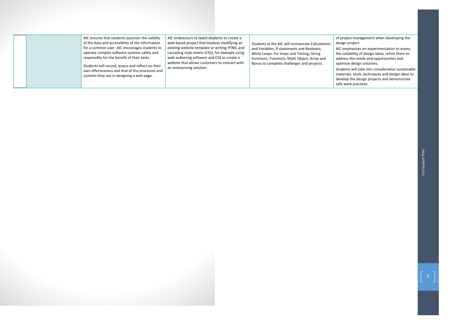

AIC ensures that students question the validity of the data and accessibility of the information for a common user. AIC encourages students to operate complex software systems safely and responsibly for the benefit of their tasks.

Students will record, assess and reflect on their own effectiveness and that of the processes and systems they use in designing a web page.

AIC endeavours to teach students to create a web-based project that involves modifying an existing website template or writing HTML and cascading style sheets (CSS), for example using web-authoring software and CSS to create a website that allows customers to interact with an enterprising solution.

Students at the AIC will incorporate Calculations and Variables, If statements and Booleans, While Loops, For loops and Testing, String Functions, Functions, Math Object, Array and Bonus to complete challenges and projects.



of project management when developing the design project.

AIC emphasises on experimentation to assess the suitability of design ideas, refine them to address the needs and opportunities and optimise design solutions.

Students will take into consideration sustainable materials, tools, techniques and design ideas to develop the design projects and demonstrate safe work practices.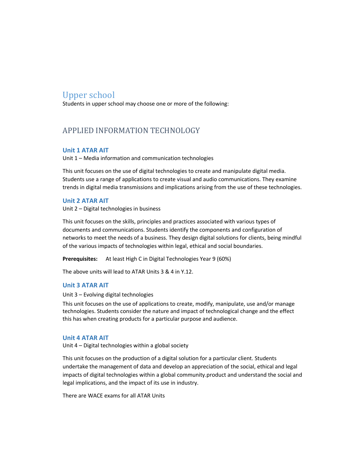# Upper school

Students in upper school may choose one or more of the following:

# APPLIED INFORMATION TECHNOLOGY

# **Unit 1 ATAR AIT**

Unit 1 – Media information and communication technologies

This unit focuses on the use of digital technologies to create and manipulate digital media. Students use a range of applications to create visual and audio communications. They examine trends in digital media transmissions and implications arising from the use of these technologies.

# **Unit 2 ATAR AIT**

Unit 2 – Digital technologies in business

This unit focuses on the skills, principles and practices associated with various types of documents and communications. Students identify the components and configuration of networks to meet the needs of a business. They design digital solutions for clients, being mindful of the various impacts of technologies within legal, ethical and social boundaries.

**Prerequisites:** At least High C in Digital Technologies Year 9 (60%)

The above units will lead to ATAR Units 3 & 4 in Y.12.

# **Unit 3 ATAR AIT**

Unit 3 – Evolving digital technologies

This unit focuses on the use of applications to create, modify, manipulate, use and/or manage technologies. Students consider the nature and impact of technological change and the effect this has when creating products for a particular purpose and audience.

### **Unit 4 ATAR AIT**

Unit 4 – Digital technologies within a global society

This unit focuses on the production of a digital solution for a particular client. Students undertake the management of data and develop an appreciation of the social, ethical and legal impacts of digital technologies within a global community.product and understand the social and legal implications, and the impact of its use in industry.

There are WACE exams for all ATAR Units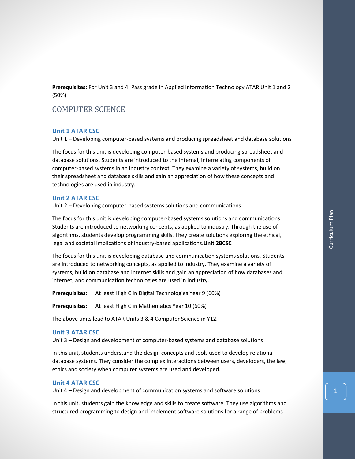**Prerequisites:** For Unit 3 and 4: Pass grade in Applied Information Technology ATAR Unit 1 and 2 (50%)

# COMPUTER SCIENCE

### **Unit 1 ATAR CSC**

Unit 1 – Developing computer-based systems and producing spreadsheet and database solutions

The focus for this unit is developing computer-based systems and producing spreadsheet and database solutions. Students are introduced to the internal, interrelating components of computer-based systems in an industry context. They examine a variety of systems, build on their spreadsheet and database skills and gain an appreciation of how these concepts and technologies are used in industry.

### **Unit 2 ATAR CSC**

Unit 2 – Developing computer-based systems solutions and communications

The focus for this unit is developing computer-based systems solutions and communications. Students are introduced to networking concepts, as applied to industry. Through the use of algorithms, students develop programming skills. They create solutions exploring the ethical, legal and societal implications of industry-based applications.**Unit 2BCSC** 

The focus for this unit is developing database and communication systems solutions. Students are introduced to networking concepts, as applied to industry. They examine a variety of systems, build on database and internet skills and gain an appreciation of how databases and internet, and communication technologies are used in industry.

**Prerequisites:** At least High C in Digital Technologies Year 9 (60%)

**Prerequisites:** At least High C in Mathematics Year 10 (60%)

The above units lead to ATAR Units 3 & 4 Computer Science in Y12.

### **Unit 3 ATAR CSC**

Unit 3 – Design and development of computer-based systems and database solutions

In this unit, students understand the design concepts and tools used to develop relational database systems. They consider the complex interactions between users, developers, the law, ethics and society when computer systems are used and developed.

### **Unit 4 ATAR CSC**

Unit 4 – Design and development of communication systems and software solutions

In this unit, students gain the knowledge and skills to create software. They use algorithms and structured programming to design and implement software solutions for a range of problems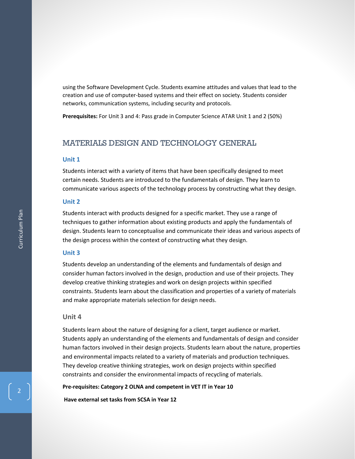using the Software Development Cycle. Students examine attitudes and values that lead to the creation and use of computer-based systems and their effect on society. Students consider networks, communication systems, including security and protocols.

**Prerequisites:** For Unit 3 and 4: Pass grade in Computer Science ATAR Unit 1 and 2 (50%)

# MATERIALS DESIGN AND TECHNOLOGY GENERAL

# **Unit 1**

Students interact with a variety of items that have been specifically designed to meet certain needs. Students are introduced to the fundamentals of design. They learn to communicate various aspects of the technology process by constructing what they design.

## **Unit 2**

Students interact with products designed for a specific market. They use a range of techniques to gather information about existing products and apply the fundamentals of design. Students learn to conceptualise and communicate their ideas and various aspects of the design process within the context of constructing what they design.

### **Unit 3**

Students develop an understanding of the elements and fundamentals of design and consider human factors involved in the design, production and use of their projects. They develop creative thinking strategies and work on design projects within specified constraints. Students learn about the classification and properties of a variety of materials and make appropriate materials selection for design needs.

### **Unit 4**

Students learn about the nature of designing for a client, target audience or market. Students apply an understanding of the elements and fundamentals of design and consider human factors involved in their design projects. Students learn about the nature, properties and environmental impacts related to a variety of materials and production techniques. They develop creative thinking strategies, work on design projects within specified constraints and consider the environmental impacts of recycling of materials.

### **Pre-requisites: Category 2 OLNA and competent in VET IT in Year 10**

**Have external set tasks from SCSA in Year 12**